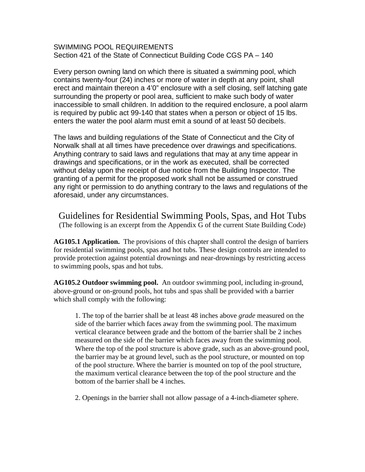SWIMMING POOL REQUIREMENTS Section 421 of the State of Connecticut Building Code CGS PA – 140

Every person owning land on which there is situated a swimming pool, which contains twenty-four (24) inches or more of water in depth at any point, shall erect and maintain thereon a 4'0" enclosure with a self closing, self latching gate surrounding the property or pool area, sufficient to make such body of water inaccessible to small children. In addition to the required enclosure, a pool alarm is required by public act 99-140 that states when a person or object of 15 lbs. enters the water the pool alarm must emit a sound of at least 50 decibels.

The laws and building regulations of the State of Connecticut and the City of Norwalk shall at all times have precedence over drawings and specifications. Anything contrary to said laws and regulations that may at any time appear in drawings and specifications, or in the work as executed, shall be corrected without delay upon the receipt of due notice from the Building Inspector. The granting of a permit for the proposed work shall not be assumed or construed any right or permission to do anything contrary to the laws and regulations of the aforesaid, under any circumstances.

Guidelines for Residential Swimming Pools, Spas, and Hot Tubs (The following is an excerpt from the Appendix G of the current State Building Code)

**AG105.1 Application.** The provisions of this chapter shall control the design of barriers for residential swimming pools, spas and hot tubs. These design controls are intended to provide protection against potential drownings and near-drownings by restricting access to swimming pools, spas and hot tubs.

**AG105.2 Outdoor swimming pool.** An outdoor swimming pool, including in-ground, above-ground or on-ground pools, hot tubs and spas shall be provided with a barrier which shall comply with the following:

1. The top of the barrier shall be at least 48 inches above *grade* measured on the side of the barrier which faces away from the swimming pool. The maximum vertical clearance between grade and the bottom of the barrier shall be 2 inches measured on the side of the barrier which faces away from the swimming pool. Where the top of the pool structure is above grade, such as an above-ground pool, the barrier may be at ground level, such as the pool structure, or mounted on top of the pool structure. Where the barrier is mounted on top of the pool structure, the maximum vertical clearance between the top of the pool structure and the bottom of the barrier shall be 4 inches.

2. Openings in the barrier shall not allow passage of a 4-inch-diameter sphere.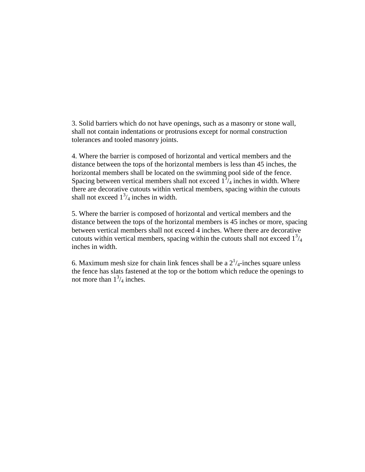3. Solid barriers which do not have openings, such as a masonry or stone wall, shall not contain indentations or protrusions except for normal construction tolerances and tooled masonry joints.

4. Where the barrier is composed of horizontal and vertical members and the distance between the tops of the horizontal members is less than 45 inches, the horizontal members shall be located on the swimming pool side of the fence. Spacing between vertical members shall not exceed  $1^{3}/_{4}$  inches in width. Where there are decorative cutouts within vertical members, spacing within the cutouts shall not exceed  $1^3/4$  inches in width.

5. Where the barrier is composed of horizontal and vertical members and the distance between the tops of the horizontal members is 45 inches or more, spacing between vertical members shall not exceed 4 inches. Where there are decorative cutouts within vertical members, spacing within the cutouts shall not exceed  $1<sup>3</sup>/4$ inches in width.

6. Maximum mesh [size for chain link](javascript:Next() fences shall be a  $2^{1}/_{4}$ -inches square unless the fence has slats fastened at the top or the bottom which reduce the openings to not more than  $1^3/4$  inches.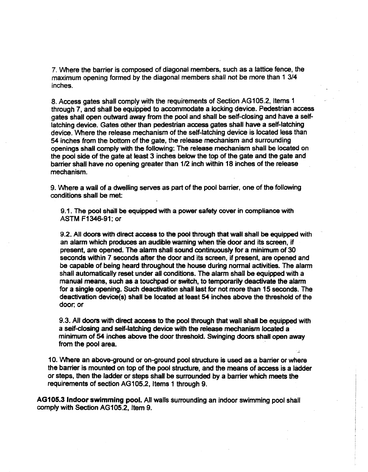7. Where the barrier is composed of diagonal members, such as a lattice fence, the maximum opening formed by the diagonal members shall not be more than 1 3/4 inches.

8. Access gates shall comply with the requirements of Section AG105.2, Items 1 through 7, and shall be equipped to accommodate a locking device. Pedestrian access gates shall open outward away from the pool and shall be self-closing and have a selflatching device. Gates other than pedestrian access gates shall have a self-latching device. Where the release mechanism of the self-latching device is located less than 54 inches from the bottom of the gate, the release mechanism and surrounding openings shall comply with the following: The release mechanism shall be located on the pool side of the gate at least 3 inches below the top of the gate and the gate and barrier shall have no opening greater than 1/2 inch within 18 inches of the release mechanism.

9. Where a wall of a dwelling serves as part of the pool barrier, one of the following conditions shall be met:

9.1. The pool shall be equipped with a power safety cover in compliance with ASTM F1346-91: or

9.2. All doors with direct access to the pool through that wall shall be equipped with an alarm which produces an audible warning when the door and its screen, if present, are opened. The alarm shall sound continuously for a minimum of 30 seconds within 7 seconds after the door and its screen, if present, are opened and be capable of being heard throughout the house during normal activities. The alarm shall automatically reset under all conditions. The alarm shall be equipped with a manual means, such as a touchpad or switch, to temporarily deactivate the alarm for a single opening. Such deactivation shall last for not more than 15 seconds. The deactivation device(s) shall be located at least 54 inches above the threshold of the door: or

9.3. All doors with direct access to the pool through that wall shall be equipped with a self-closing and self-latching device with the release mechanism located a minimum of 54 inches above the door threshold. Swinging doors shall open away from the pool area.

10. Where an above-ground or on-ground pool structure is used as a barrier or where the barrier is mounted on top of the pool structure, and the means of access is a ladder or steps, then the ladder or steps shall be surrounded by a barrier which meets the requirements of section AG105.2, Items 1 through 9.

AG105.3 Indoor swimming pool. All walls surrounding an indoor swimming pool shall comply with Section AG105.2, Item 9.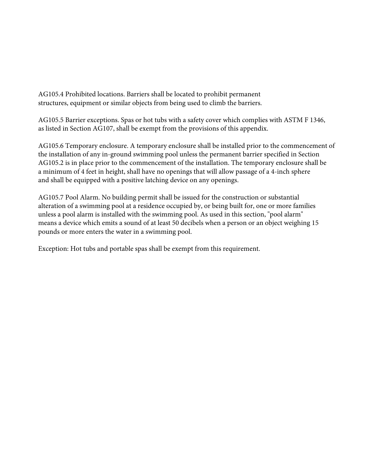AG105.4 Prohibited locations. Barriers shall be located to prohibit permanent structures, equipment or similar objects from being used to climb the barriers.

AG105.5 Barrier exceptions. Spas or hot tubs with a safety cover which complies with ASTM F 1346, as listed in Section AG107, shall be exempt from the provisions of this appendix.

AG105.6 Temporary enclosure. A temporary enclosure shall be installed prior to the commencement of the installation of any in-ground swimming pool unless the permanent barrier specified in Section AG105.2 is in place prior to the commencement of the installation. The temporary enclosure shall be a minimum of 4 feet in height, shall have no openings that will allow passage of a 4-inch sphere and shall be equipped with a positive latching device on any openings.

AG105.7 Pool Alarm. No building permit shall be issued for the construction or substantial alteration of a swimming pool at a residence occupied by, or being built for, one or more families unless a pool alarm is installed with the swimming pool. As used in this section, "pool alarm" means a device which emits a sound of at least 50 decibels when a person or an object weighing 15 pounds or more enters the water in a swimming pool.

Exception: Hot tubs and portable spas shall be exempt from this requirement.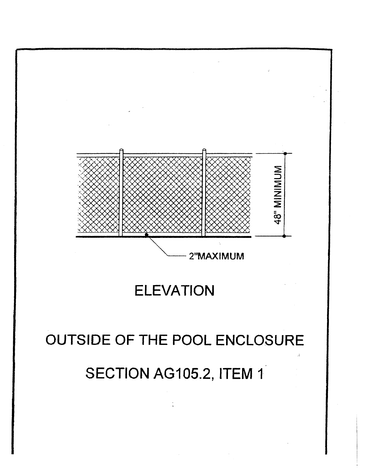

### **ELEVATION**

### OUTSIDE OF THE POOL ENCLOSURE SECTION AG105.2, ITEM 1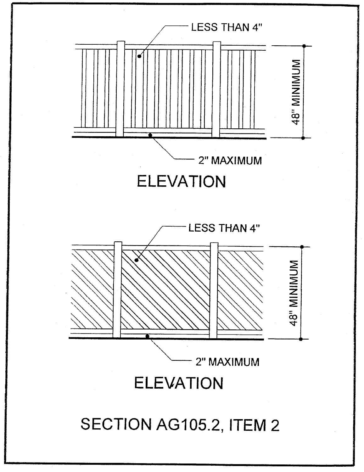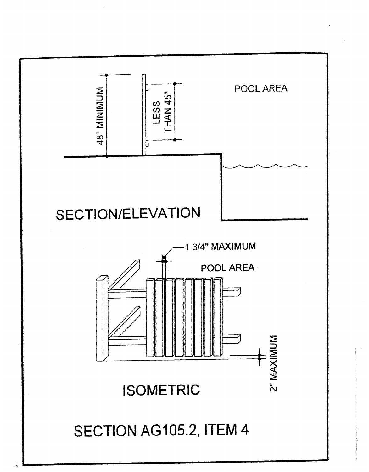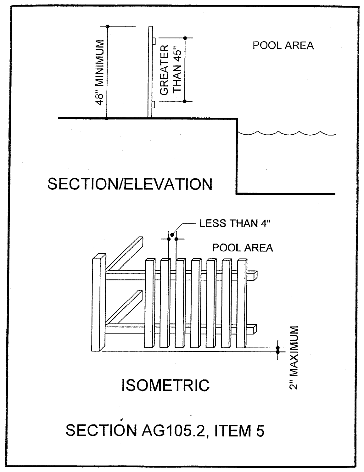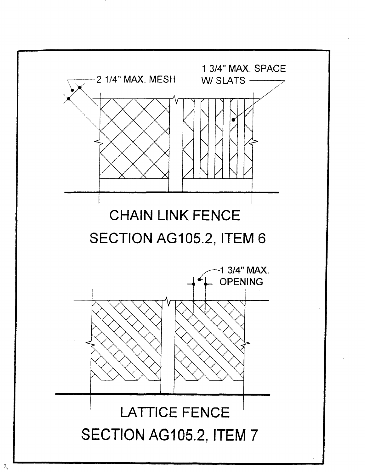